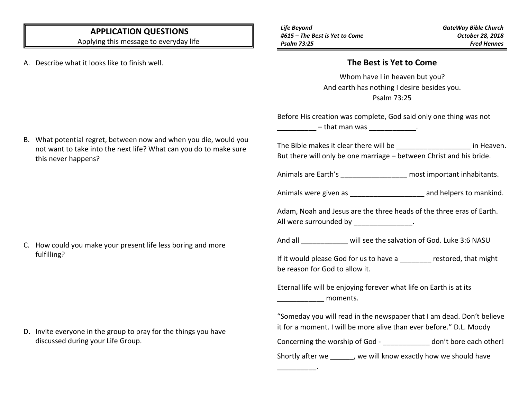## **APPLICATION QUESTIONS**

Applying this message to everyday life

A. Describe what it looks like to finish well.

*Life Beyond #615 – The Best is Yet to Come Psalm 73:25*

\_\_\_\_\_\_\_\_\_\_.

## **The Best is Yet to Come**

Whom have I in heaven but you? And earth has nothing I desire besides you. Psalm 73:25

Before His creation was complete, God said only one thing was not

 $-$  that man was \_\_\_\_\_\_\_\_\_\_\_\_\_\_.

The Bible makes it clear there will be  $\qquad \qquad$  in Heaven. But there will only be one marriage – between Christ and his bride.

Animals are Earth's **Example 20** most important inhabitants.

Animals were given as \_\_\_\_\_\_\_\_\_\_\_\_\_\_\_\_\_\_\_\_\_\_\_\_ and helpers to mankind.

Adam, Noah and Jesus are the three heads of the three eras of Earth. All were surrounded by \_\_\_\_\_\_\_\_\_\_\_\_\_\_\_.

And all will see the salvation of God. Luke 3:6 NASU

If it would please God for us to have a streamed, that might be reason for God to allow it.

Eternal life will be enjoying forever what life on Earth is at its  $\blacksquare$  moments.

"Someday you will read in the newspaper that I am dead. Don't believe it for a moment. I will be more alive than ever before." D.L. Moody Concerning the worship of God - and a don't bore each other! Shortly after we \_\_\_\_\_\_, we will know exactly how we should have

B. What potential regret, between now and when you die, would you not want to take into the next life? What can you do to make sure this never happens?

C. How could you make your present life less boring and more fulfilling?

D. Invite everyone in the group to pray for the things you have discussed during your Life Group.